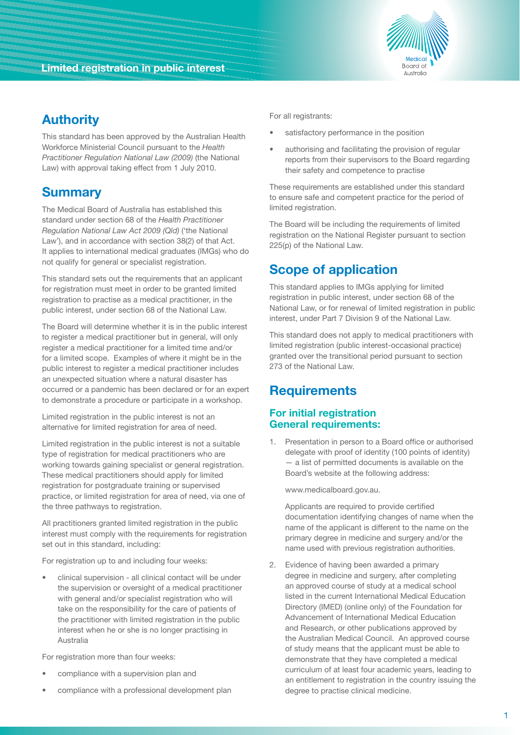

# **Authority**

This standard has been approved by the Australian Health Workforce Ministerial Council pursuant to the *Health Practitioner Regulation National Law (2009)* (the National Law) with approval taking effect from 1 July 2010.

## **Summary**

The Medical Board of Australia has established this standard under section 68 of the *Health Practitioner Regulation National Law Act 2009 (Qld)* ('the National Law'), and in accordance with section 38(2) of that Act. It applies to international medical graduates (IMGs) who do not qualify for general or specialist registration.

This standard sets out the requirements that an applicant for registration must meet in order to be granted limited registration to practise as a medical practitioner, in the public interest, under section 68 of the National Law.

The Board will determine whether it is in the public interest to register a medical practitioner but in general, will only register a medical practitioner for a limited time and/or for a limited scope. Examples of where it might be in the public interest to register a medical practitioner includes an unexpected situation where a natural disaster has occurred or a pandemic has been declared or for an expert to demonstrate a procedure or participate in a workshop.

Limited registration in the public interest is not an alternative for limited registration for area of need.

Limited registration in the public interest is not a suitable type of registration for medical practitioners who are working towards gaining specialist or general registration. These medical practitioners should apply for limited registration for postgraduate training or supervised practice, or limited registration for area of need, via one of the three pathways to registration.

All practitioners granted limited registration in the public interest must comply with the requirements for registration set out in this standard, including:

For registration up to and including four weeks:

clinical supervision - all clinical contact will be under the supervision or oversight of a medical practitioner with general and/or specialist registration who will take on the responsibility for the care of patients of the practitioner with limited registration in the public interest when he or she is no longer practising in Australia

For registration more than four weeks:

- compliance with a supervision plan and
- compliance with a professional development plan

For all registrants:

- satisfactory performance in the position
- authorising and facilitating the provision of regular reports from their supervisors to the Board regarding their safety and competence to practise

These requirements are established under this standard to ensure safe and competent practice for the period of limited registration.

The Board will be including the requirements of limited registration on the National Register pursuant to section 225(p) of the National Law.

# **Scope of application**

This standard applies to IMGs applying for limited registration in public interest, under section 68 of the National Law, or for renewal of limited registration in public interest, under Part 7 Division 9 of the National Law.

This standard does not apply to medical practitioners with limited registration (public interest-occasional practice) granted over the transitional period pursuant to section 273 of the National Law.

## **Requirements**

### **For initial registration General requirements:**

1. Presentation in person to a Board office or authorised delegate with proof of identity (100 points of identity) — a list of permitted documents is available on the Board's website at the following address:

www.medicalboard.gov.au.

 Applicants are required to provide certified documentation identifying changes of name when the name of the applicant is different to the name on the primary degree in medicine and surgery and/or the name used with previous registration authorities.

2. Evidence of having been awarded a primary degree in medicine and surgery, after completing an approved course of study at a medical school listed in the current International Medical Education Directory (IMED) (online only) of the Foundation for Advancement of International Medical Education and Research, or other publications approved by the Australian Medical Council. An approved course of study means that the applicant must be able to demonstrate that they have completed a medical curriculum of at least four academic years, leading to an entitlement to registration in the country issuing the degree to practise clinical medicine.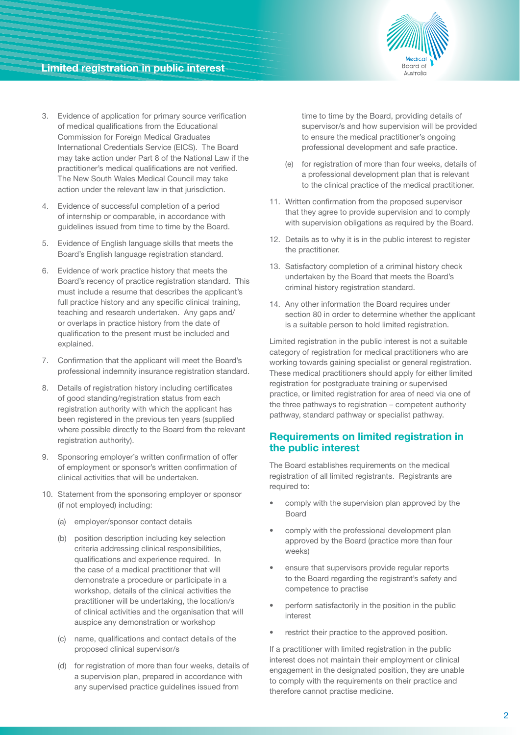

### **Limited registration in public interest**

- 3. Evidence of application for primary source verification of medical qualifications from the Educational Commission for Foreign Medical Graduates International Credentials Service (EICS). The Board may take action under Part 8 of the National Law if the practitioner's medical qualifications are not verified. The New South Wales Medical Council may take action under the relevant law in that jurisdiction.
- 4. Evidence of successful completion of a period of internship or comparable, in accordance with guidelines issued from time to time by the Board.
- 5. Evidence of English language skills that meets the Board's English language registration standard.
- 6. Evidence of work practice history that meets the Board's recency of practice registration standard. This must include a resume that describes the applicant's full practice history and any specific clinical training, teaching and research undertaken. Any gaps and/ or overlaps in practice history from the date of qualification to the present must be included and explained.
- 7. Confirmation that the applicant will meet the Board's professional indemnity insurance registration standard.
- 8. Details of registration history including certificates of good standing/registration status from each registration authority with which the applicant has been registered in the previous ten years (supplied where possible directly to the Board from the relevant registration authority).
- 9. Sponsoring employer's written confirmation of offer of employment or sponsor's written confirmation of clinical activities that will be undertaken.
- 10. Statement from the sponsoring employer or sponsor (if not employed) including:
	- (a) employer/sponsor contact details
	- (b) position description including key selection criteria addressing clinical responsibilities, qualifications and experience required. In the case of a medical practitioner that will demonstrate a procedure or participate in a workshop, details of the clinical activities the practitioner will be undertaking, the location/s of clinical activities and the organisation that will auspice any demonstration or workshop
	- (c) name, qualifications and contact details of the proposed clinical supervisor/s
	- (d) for registration of more than four weeks, details of a supervision plan, prepared in accordance with any supervised practice guidelines issued from

time to time by the Board, providing details of supervisor/s and how supervision will be provided to ensure the medical practitioner's ongoing professional development and safe practice.

- (e) for registration of more than four weeks, details of a professional development plan that is relevant to the clinical practice of the medical practitioner.
- 11. Written confirmation from the proposed supervisor that they agree to provide supervision and to comply with supervision obligations as required by the Board.
- 12. Details as to why it is in the public interest to register the practitioner.
- 13. Satisfactory completion of a criminal history check undertaken by the Board that meets the Board's criminal history registration standard.
- 14. Any other information the Board requires under section 80 in order to determine whether the applicant is a suitable person to hold limited registration.

Limited registration in the public interest is not a suitable category of registration for medical practitioners who are working towards gaining specialist or general registration. These medical practitioners should apply for either limited registration for postgraduate training or supervised practice, or limited registration for area of need via one of the three pathways to registration – competent authority pathway, standard pathway or specialist pathway.

#### **Requirements on limited registration in the public interest**

The Board establishes requirements on the medical registration of all limited registrants. Registrants are required to:

- comply with the supervision plan approved by the Board
- comply with the professional development plan approved by the Board (practice more than four weeks)
- ensure that supervisors provide regular reports to the Board regarding the registrant's safety and competence to practise
- perform satisfactorily in the position in the public interest
- restrict their practice to the approved position.

If a practitioner with limited registration in the public interest does not maintain their employment or clinical engagement in the designated position, they are unable to comply with the requirements on their practice and therefore cannot practise medicine.